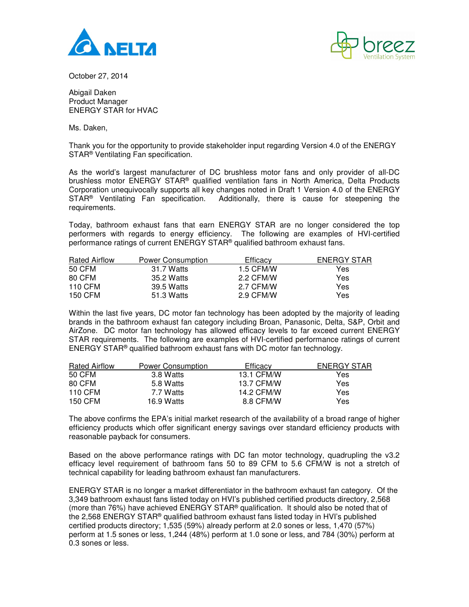



October 27, 2014

Abigail Daken Product Manager ENERGY STAR for HVAC

Ms. Daken,

Thank you for the opportunity to provide stakeholder input regarding Version 4.0 of the ENERGY STAR® Ventilating Fan specification.

As the world's largest manufacturer of DC brushless motor fans and only provider of all-DC brushless motor ENERGY STAR<sup>®</sup> qualified ventilation fans in North America, Delta Products Corporation unequivocally supports all key changes noted in Draft 1 Version 4.0 of the ENERGY STAR<sup>®</sup> Ventilating Fan specification. Additionally, there is cause for steepening the requirements.

Today, bathroom exhaust fans that earn ENERGY STAR are no longer considered the top performers with regards to energy efficiency. The following are examples of HVI-certified performance ratings of current ENERGY STAR® qualified bathroom exhaust fans.

| <b>Rated Airflow</b> | Power Consumption | Efficacy  | ENERGY STAR |
|----------------------|-------------------|-----------|-------------|
| 50 CFM               | 31.7 Watts        | 1.5 CFM/W | Yes         |
| 80 CFM               | 35.2 Watts        | 2.2 CFM/W | Yes         |
| 110 CFM              | 39.5 Watts        | 2.7 CFM/W | Yes         |
| 150 CFM              | 51.3 Watts        | 2.9 CFM/W | Yes         |

Within the last five years, DC motor fan technology has been adopted by the majority of leading brands in the bathroom exhaust fan category including Broan, Panasonic, Delta, S&P, Orbit and AirZone. DC motor fan technology has allowed efficacy levels to far exceed current ENERGY STAR requirements. The following are examples of HVI-certified performance ratings of current ENERGY STAR® qualified bathroom exhaust fans with DC motor fan technology.

| <b>Rated Airflow</b> | <b>Power Consumption</b> | Efficacy   | ENERGY STAR |
|----------------------|--------------------------|------------|-------------|
| 50 CFM               | 3.8 Watts                | 13.1 CFM/W | Yes.        |
| 80 CFM               | 5.8 Watts                | 13.7 CFM/W | Yes         |
| 110 CFM              | 7.7 Watts                | 14.2 CFM/W | Yes         |
| 150 CFM              | 16.9 Watts               | 8.8 CFM/W  | Yes         |

The above confirms the EPA's initial market research of the availability of a broad range of higher efficiency products which offer significant energy savings over standard efficiency products with reasonable payback for consumers.

Based on the above performance ratings with DC fan motor technology, quadrupling the v3.2 efficacy level requirement of bathroom fans 50 to 89 CFM to 5.6 CFM/W is not a stretch of technical capability for leading bathroom exhaust fan manufacturers.

ENERGY STAR is no longer a market differentiator in the bathroom exhaust fan category. Of the 3,349 bathroom exhaust fans listed today on HVI's published certified products directory, 2,568 (more than 76%) have achieved ENERGY STAR® qualification. It should also be noted that of the 2,568 ENERGY STAR® qualified bathroom exhaust fans listed today in HVI's published certified products directory; 1,535 (59%) already perform at 2.0 sones or less, 1,470 (57%) perform at 1.5 sones or less, 1,244 (48%) perform at 1.0 sone or less, and 784 (30%) perform at 0.3 sones or less.